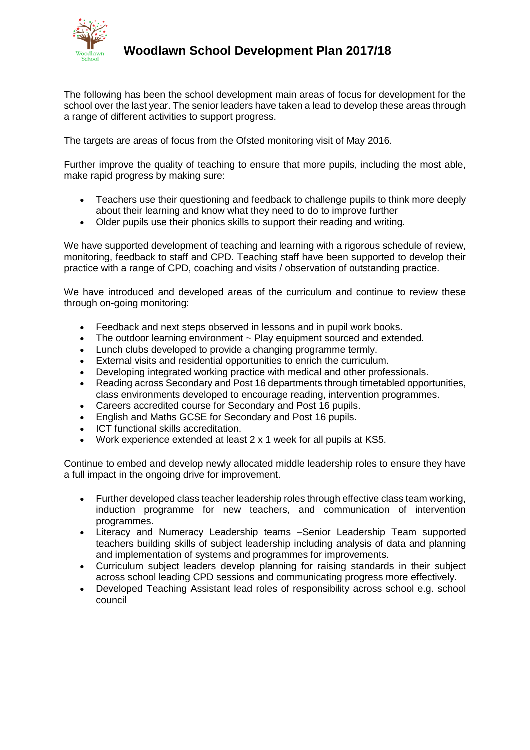

## **Woodlawn School Development Plan 2017/18**

The following has been the school development main areas of focus for development for the school over the last year. The senior leaders have taken a lead to develop these areas through a range of different activities to support progress.

The targets are areas of focus from the Ofsted monitoring visit of May 2016.

Further improve the quality of teaching to ensure that more pupils, including the most able, make rapid progress by making sure:

- Teachers use their questioning and feedback to challenge pupils to think more deeply about their learning and know what they need to do to improve further
- Older pupils use their phonics skills to support their reading and writing.

We have supported development of teaching and learning with a rigorous schedule of review, monitoring, feedback to staff and CPD. Teaching staff have been supported to develop their practice with a range of CPD, coaching and visits / observation of outstanding practice.

We have introduced and developed areas of the curriculum and continue to review these through on-going monitoring:

- Feedback and next steps observed in lessons and in pupil work books.
- The outdoor learning environment ~ Play equipment sourced and extended.
- Lunch clubs developed to provide a changing programme termly.
- External visits and residential opportunities to enrich the curriculum.
- Developing integrated working practice with medical and other professionals.
- Reading across Secondary and Post 16 departments through timetabled opportunities, class environments developed to encourage reading, intervention programmes.
- Careers accredited course for Secondary and Post 16 pupils.
- English and Maths GCSE for Secondary and Post 16 pupils.
- ICT functional skills accreditation.
- Work experience extended at least 2 x 1 week for all pupils at KS5.

Continue to embed and develop newly allocated middle leadership roles to ensure they have a full impact in the ongoing drive for improvement.

- Further developed class teacher leadership roles through effective class team working, induction programme for new teachers, and communication of intervention programmes.
- Literacy and Numeracy Leadership teams –Senior Leadership Team supported teachers building skills of subject leadership including analysis of data and planning and implementation of systems and programmes for improvements.
- Curriculum subject leaders develop planning for raising standards in their subject across school leading CPD sessions and communicating progress more effectively.
- Developed Teaching Assistant lead roles of responsibility across school e.g. school council